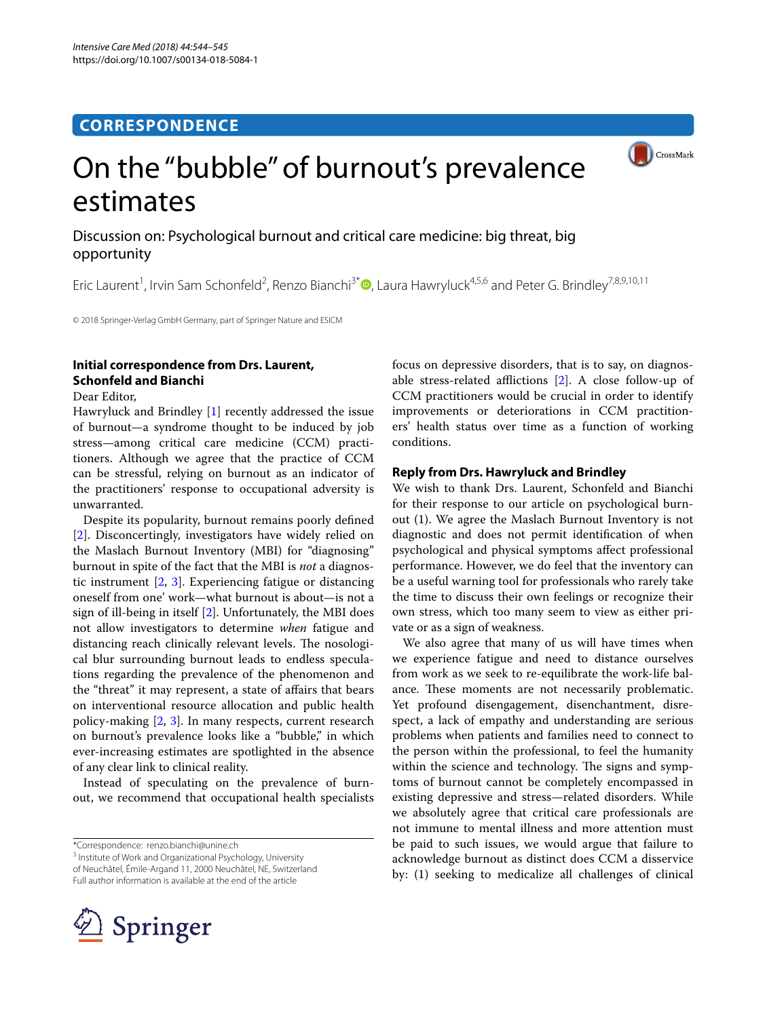## **CORRESPONDENCE**



# On the "bubble" of burnout's prevalence estimates

Discussion on: Psychological burnout and critical care medicine: big threat, big opportunity

Eric Laurent<sup>1</sup>, Irvin Sam Schonfeld<sup>2</sup>, Renzo Bianchi<sup>3[\\*](http://orcid.org/0000-0003-2336-0407)</sup> D, Laura Hawryluck<sup>4,5,6</sup> and Peter G. Brindley<sup>7,8,9,10,11</sup>

© 2018 Springer-Verlag GmbH Germany, part of Springer Nature and ESICM

### **Initial correspondence from Drs. Laurent, Schonfeld and Bianchi**

Dear Editor,

Hawryluck and Brindley [[1\]](#page-1-0) recently addressed the issue of burnout—a syndrome thought to be induced by job stress—among critical care medicine (CCM) practitioners. Although we agree that the practice of CCM can be stressful, relying on burnout as an indicator of the practitioners' response to occupational adversity is unwarranted.

Despite its popularity, burnout remains poorly defned [[2\]](#page-1-1). Disconcertingly, investigators have widely relied on the Maslach Burnout Inventory (MBI) for "diagnosing" burnout in spite of the fact that the MBI is *not* a diagnostic instrument [[2,](#page-1-1) [3](#page-1-2)]. Experiencing fatigue or distancing oneself from one' work—what burnout is about—is not a sign of ill-being in itself [[2\]](#page-1-1). Unfortunately, the MBI does not allow investigators to determine *when* fatigue and distancing reach clinically relevant levels. The nosological blur surrounding burnout leads to endless speculations regarding the prevalence of the phenomenon and the "threat" it may represent, a state of affairs that bears on interventional resource allocation and public health policy-making [[2,](#page-1-1) [3](#page-1-2)]. In many respects, current research on burnout's prevalence looks like a "bubble," in which ever-increasing estimates are spotlighted in the absence of any clear link to clinical reality.

Instead of speculating on the prevalence of burnout, we recommend that occupational health specialists

\*Correspondence: renzo.bianchi@unine.ch

<sup>3</sup> Institute of Work and Organizational Psychology, University of Neuchâtel, Émile-Argand 11, 2000 Neuchâtel, NE, Switzerland Full author information is available at the end of the article



focus on depressive disorders, that is to say, on diagnosable stress-related afflictions  $[2]$  $[2]$ . A close follow-up of CCM practitioners would be crucial in order to identify improvements or deteriorations in CCM practitioners' health status over time as a function of working conditions.

#### **Reply from Drs. Hawryluck and Brindley**

We wish to thank Drs. Laurent, Schonfeld and Bianchi for their response to our article on psychological burnout (1). We agree the Maslach Burnout Inventory is not diagnostic and does not permit identifcation of when psychological and physical symptoms afect professional performance. However, we do feel that the inventory can be a useful warning tool for professionals who rarely take the time to discuss their own feelings or recognize their own stress, which too many seem to view as either private or as a sign of weakness.

We also agree that many of us will have times when we experience fatigue and need to distance ourselves from work as we seek to re-equilibrate the work-life balance. These moments are not necessarily problematic. Yet profound disengagement, disenchantment, disrespect, a lack of empathy and understanding are serious problems when patients and families need to connect to the person within the professional, to feel the humanity within the science and technology. The signs and symptoms of burnout cannot be completely encompassed in existing depressive and stress—related disorders. While we absolutely agree that critical care professionals are not immune to mental illness and more attention must be paid to such issues, we would argue that failure to acknowledge burnout as distinct does CCM a disservice by: (1) seeking to medicalize all challenges of clinical